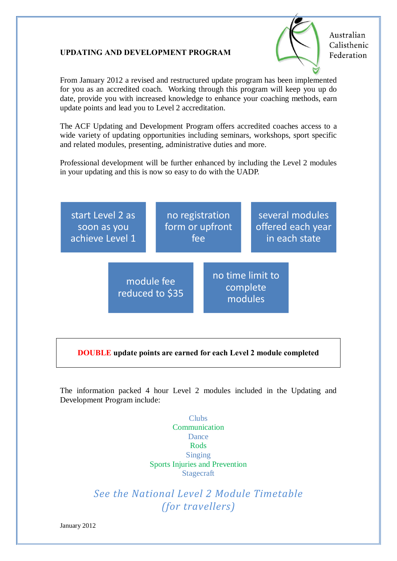## **UPDATING AND DEVELOPMENT PROGRAM**



Australian Calisthenic Federation

From January 2012 a revised and restructured update program has been implemented for you as an accredited coach. Working through this program will keep you up do date, provide you with increased knowledge to enhance your coaching methods, earn update points and lead you to Level 2 accreditation.

The ACF Updating and Development Program offers accredited coaches access to a wide variety of updating opportunities including seminars, workshops, sport specific and related modules, presenting, administrative duties and more.

Professional development will be further enhanced by including the Level 2 modules in your updating and this is now so easy to do with the UADP.



## **DOUBLE update points are earned for each Level 2 module completed**

The information packed 4 hour Level 2 modules included in the Updating and Development Program include:

> Clubs Communication Dance Rods Singing Sports Injuries and Prevention Stagecraft

*See the National Level 2 Module Timetable (for travellers)*

January 2012